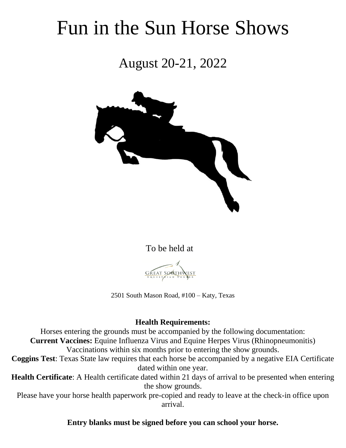# Fun in the Sun Horse Shows

August 20-21, 2022



To be held at



2501 South Mason Road, #100 – Katy, Texas

# **Health Requirements:**

Horses entering the grounds must be accompanied by the following documentation: **Current Vaccines:** Equine Influenza Virus and Equine Herpes Virus (Rhinopneumonitis) Vaccinations within six months prior to entering the show grounds.

**Coggins Test**: Texas State law requires that each horse be accompanied by a negative EIA Certificate dated within one year.

**Health Certificate**: A Health certificate dated within 21 days of arrival to be presented when entering the show grounds.

Please have your horse health paperwork pre-copied and ready to leave at the check-in office upon arrival.

# **Entry blanks must be signed before you can school your horse.**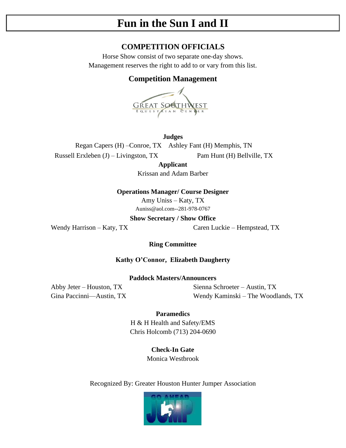# **Fun in the Sun I and II**

# **COMPETITION OFFICIALS**

Horse Show consist of two separate one-day shows. Management reserves the right to add to or vary from this list.

# **Competition Management**



**Judges** Regan Capers (H) –Conroe, TX Ashley Fant (H) Memphis, TN Russell Erxleben (J) – Livingston, TX Pam Hunt (H) Bellville, TX

**Applicant** Krissan and Adam Barber

**Operations Manager/ Course Designer** 

Amy Uniss – Katy, TX Auniss@aol.com--281-978-0767

**Show Secretary / Show Office**

Wendy Harrison – Katy, TX Caren Luckie – Hempstead, TX

# **Ring Committee**

**Kathy O'Connor, Elizabeth Daugherty**

**Paddock Masters/Announcers**

Abby Jeter – Houston, TX Sienna Schroeter – Austin, TX Gina Paccinni—Austin, TX Wendy Kaminski – The Woodlands, TX

# **Paramedics**

H & H Health and Safety/EMS Chris Holcomb (713) 204-0690

**Check-In Gate**

Monica Westbrook

Recognized By: Greater Houston Hunter Jumper Association

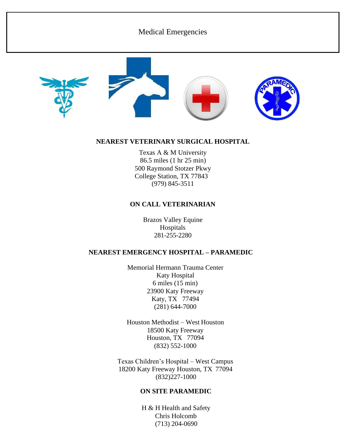# Medical Emergencies







# **NEAREST VETERINARY SURGICAL HOSPITAL**

Texas A & M University 86.5 miles (1 hr 25 min) 500 Raymond Stotzer Pkwy College Station, TX 77843 (979) 845-3511

# **ON CALL VETERINARIAN**

Brazos Valley Equine Hospitals 281-255-2280

# **NEAREST EMERGENCY HOSPITAL – PARAMEDIC**

Memorial Hermann Trauma Center Katy Hospital 6 miles (15 min) 23900 Katy Freeway Katy, TX 77494 (281) 644-7000

Houston Methodist – West Houston 18500 Katy Freeway Houston, TX 77094 (832) 552-1000

Texas Children's Hospital – West Campus 18200 Katy Freeway Houston, TX 77094 (832)227-1000

# **ON SITE PARAMEDIC**

H & H Health and Safety Chris Holcomb (713) 204-0690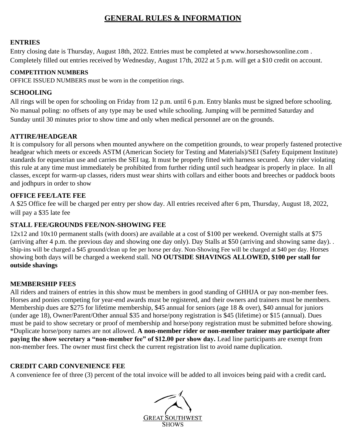# **GENERAL RULES & INFORMATION**

# **ENTRIES**

Entry closing date is Thursday, August 18th, 2022. Entries must be completed at [www.horseshowsonline.com .](about:blank) Completely filled out entries received by Wednesday, August 17th, 2022 at 5 p.m. will get a \$10 credit on account.

# **COMPETITION NUMBERS**

OFFICE ISSUED NUMBERS must be worn in the competition rings.

# **SCHOOLING**

All rings will be open for schooling on Friday from 12 p.m. until 6 p.m. Entry blanks must be signed before schooling. No manual poling: no offsets of any type may be used while schooling. Jumping will be permitted Saturday and Sunday until 30 minutes prior to show time and only when medical personnel are on the grounds.

# **ATTIRE/HEADGEAR**

It is compulsory for all persons when mounted anywhere on the competition grounds, to wear properly fastened protective headgear which meets or exceeds ASTM (American Society for Testing and Materials)/SEI (Safety Equipment Institute) standards for equestrian use and carries the SEI tag. It must be properly fitted with harness secured. Any rider violating this rule at any time must immediately be prohibited from further riding until such headgear is properly in place. In all classes, except for warm-up classes, riders must wear shirts with collars and either boots and breeches or paddock boots and jodhpurs in order to show

# **OFFICE FEE/LATE FEE**

A \$25 Office fee will be charged per entry per show day. All entries received after 6 pm, Thursday, August 18, 2022, will pay a \$35 late fee

# **STALL FEE/GROUNDS FEE/NON-SHOWING FEE**

12x12 and 10x10 permanent stalls (with doors) are available at a cost of \$100 per weekend. Overnight stalls at \$75 (arriving after 4 p.m. the previous day and showing one day only). Day Stalls at \$50 (arriving and showing same day). . Ship-ins will be charged a \$45 ground/clean up fee per horse per day. Non-Showing Fee will be charged at \$40 per day. Horses showing both days will be charged a weekend stall. N**O OUTSIDE SHAVINGS ALLOWED, \$100 per stall for outside shavings**

# **MEMBERSHIP FEES**

All riders and trainers of entries in this show must be members in good standing of GHHJA or pay non-member fees. Horses and ponies competing for year-end awards must be registered, and their owners and trainers must be members. Membership dues are \$275 for lifetime membership, \$45 annual for seniors (age 18 & over), \$40 annual for juniors (under age 18), Owner/Parent/Other annual \$35 and horse/pony registration is \$45 (lifetime) or \$15 (annual). Dues must be paid to show secretary or proof of membership and horse/pony registration must be submitted before showing. \*Duplicate horse/pony names are not allowed. **A non-member rider or non-member trainer may participate after paying the show secretary a "non-member fee" of \$12.00 per show day.** Lead line participants are exempt from non-member fees. The owner must first check the current registration list to avoid name duplication.

# **CREDIT CARD CONVENIENCE FEE**

A convenience fee of three (3) percent of the total invoice will be added to all invoices being paid with a credit card**.**

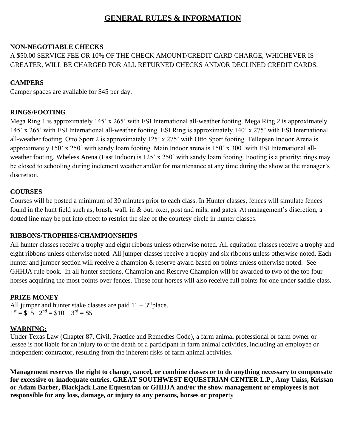# **GENERAL RULES & INFORMATION**

# **NON-NEGOTIABLE CHECKS**

A \$50.00 SERVICE FEE OR 10% OF THE CHECK AMOUNT/CREDIT CARD CHARGE, WHICHEVER IS GREATER, WILL BE CHARGED FOR ALL RETURNED CHECKS AND/OR DECLINED CREDIT CARDS.

# **CAMPERS**

Camper spaces are available for \$45 per day.

# **RINGS/FOOTING**

Mega Ring 1 is approximately 145' x 265' with ESI International all-weather footing. Mega Ring 2 is approximately 145' x 265' with ESI International all-weather footing. ESI Ring is approximately 140' x 275' with ESI International all-weather footing. Otto Sport 2 is approximately 125' x 275' with Otto Sport footing. Tellepsen Indoor Arena is approximately 150' x 250' with sandy loam footing. Main Indoor arena is 150' x 300' with ESI International allweather footing. Wheless Arena (East Indoor) is 125' x 250' with sandy loam footing. Footing is a priority; rings may be closed to schooling during inclement weather and/or for maintenance at any time during the show at the manager's discretion.

# **COURSES**

Courses will be posted a minimum of 30 minutes prior to each class. In Hunter classes, fences will simulate fences found in the hunt field such as; brush, wall, in & out, oxer, post and rails, and gates. At management's discretion, a dotted line may be put into effect to restrict the size of the courtesy circle in hunter classes.

# **RIBBONS/TROPHIES/CHAMPIONSHIPS**

All hunter classes receive a trophy and eight ribbons unless otherwise noted. All equitation classes receive a trophy and eight ribbons unless otherwise noted. All jumper classes receive a trophy and six ribbons unless otherwise noted. Each hunter and jumper section will receive a champion & reserve award based on points unless otherwise noted. See GHHJA rule book. In all hunter sections, Champion and Reserve Champion will be awarded to two of the top four horses acquiring the most points over fences. These four horses will also receive full points for one under saddle class.

# **PRIZE MONEY**

All jumper and hunter stake classes are paid  $1<sup>st</sup> - 3<sup>rd</sup>$  place.  $1<sup>st</sup> = $15$   $2<sup>nd</sup> = $10$   $3<sup>rd</sup> = $5$ 

# **WARNING:**

Under Texas Law (Chapter 87, Civil, Practice and Remedies Code), a farm animal professional or farm owner or lessee is not liable for an injury to or the death of a participant in farm animal activities, including an employee or independent contractor, resulting from the inherent risks of farm animal activities.

**Management reserves the right to change, cancel, or combine classes or to do anything necessary to compensate for excessive or inadequate entries. GREAT SOUTHWEST EQUESTRIAN CENTER L.P., Amy Uniss, Krissan or Adam Barber, Blackjack Lane Equestrian or GHHJA and/or the show management or employees is not responsible for any loss, damage, or injury to any persons, horses or proper**ty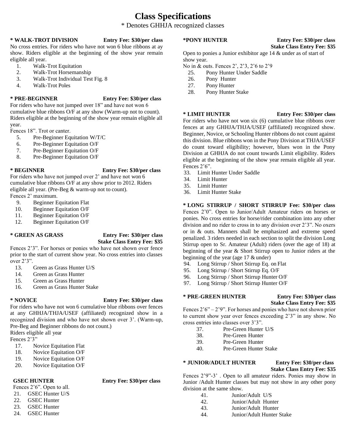# **Class Specifications**

# \* Denotes GHHJA recognized classes

**\* WALK-TROT DIVISION Entry Fee: \$30/per class** 

No cross entries. For riders who have not won 6 blue ribbons at ay show. Riders eligible at the beginning of the show year remain eligible all year.

- 1. Walk-Trot Equitation
- 2. Walk-Trot Horsemanship
- 3. Walk-Trot Individual Test Fig. 8
- 4. Walk-Trot Poles

### **\* PRE-BEGINNER Entry Fee: \$30/per class**

For riders who have not jumped over 18" and have not won 6 cumulative blue ribbons O/F at any show (Warm-up not to count). Riders eligible at the beginning of the show year remain eligible all year.

Fences 18". Trot or canter.

- 5. Pre-Beginner Equitation W/T/C
- 6. Pre-Beginner Equitation O/F
- 7. Pre-Beginner Equitation O/F
- 8. Pre-Beginner Equitation O/F

# **\* BEGINNER Entry Fee: \$30/per class**

For riders who have not jumped over 2' and have not won 6 cumulative blue ribbons O/F at any show prior to 2012. Riders eligible all year. (Pre-Beg & warm-up not to count). Fences 2' maximum.

- 9. Beginner Equitation Flat
- 10. Beginner Equitation O/F
- 11. Beginner Equitation O/F
- 12. Beginner Equitation O/F

### **\* GREEN AS GRASS Entry Fee: \$30/per class Stake Class Entry Fee: \$35**

Fences 2'3". For horses or ponies who have not shown over fence prior to the start of current show year. No cross entries into classes over 2'3".

- 13. Green as Grass Hunter U/S
- 14. Green as Grass Hunter
- 15. Green as Grass Hunter
- 16. Green as Grass Hunter Stake

### **\* NOVICE Entry Fee: \$30/per class**

For riders who have not won 6 cumulative blue ribbons over fences at any GHHJA/THJA/USEF (affiliated) recognized show in a recognized division and who have not shown over 3'. (Warm-up, Pre-Beg and Beginner ribbons do not count.)

Riders eligible all year

Fences 2'3"

- 17. Novice Equitation Flat
- 18. Novice Equitation O/F
- 19. Novice Equitation O/F
- 20. Novice Equitation O/F

### **GSEC HUNTER Entry Fee: \$30/per class**

Fences 2'6". Open to all.

- 21. GSEC Hunter U/S
- 22. GSEC Hunter
- 23. GSEC Hunter
- 24. GSEC Hunter

### **\*PONY HUNTER Entry Fee: \$30/per class**

# **Stake Class Entry Fee: \$35**

Open to ponies a Junior exhibitor age 14 & under as of start of show year.

No in & outs. Fences 2', 2'3, 2'6 to 2'9

- 25. Pony Hunter Under Saddle
- 26. Pony Hunter
- 27. Pony Hunter
- 28. Pony Hunter Stake

### **\* LIMIT HUNTER Entry Fee: \$30/per class**

For riders who have not won six (6) cumulative blue ribbons over fences at any GHHJA/THJA/USEF (affiliated) recognized show. Beginner, Novice, or Schooling Hunter ribbons do not count against this division. Blue ribbons won in the Pony Division at THJA/USEF do count toward eligibility; however, blues won in the Pony Division at GHHJA do not count towards Limit eligibility. Riders eligible at the beginning of the show year remain eligible all year. Fences 2'6".

- 33. Limit Hunter Under Saddle
- 34. Limit Hunter
- 35. Limit Hunter
- 36. Limit Hunter Stake

### **\* LONG STIRRUP / SHORT STIRRUP Fee: \$30/per class**  Fences 2'0". Open to Junior/Adult Amateur riders on horses or ponies. No cross entries for horse/rider combination into any other division and no rider to cross in to any division over 2'3". No oxers or in & outs. Manners shall be emphasized and extreme speed penalized. 3 riders needed in each section to split the division Long Stirrup open to Sr. Amateur (Adult) riders (over the age of 18) at beginning of the year & Short Stirrup open to Junior riders at the beginning of the year (age 17 & under)

- 94. Long Stirrup / Short Stirrup Eq. on Flat
- 95. Long Stirrup / Short Stirrup Eq. O/F
- 96. Long Stirrup / Short Stirrup Hunter O/F
- 97. Long Stirrup / Short Stirrup Hunter O/F

# **\* PRE-GREEN HUNTER Entry Fee: \$30/per class**

# **Stake Class Entry Fee: \$35**

Fences 2'6" – 2'9". For horses and ponies who have not shown prior to current show year over fences exceeding 2'3" in any show. No cross entries into classes over 3'3".

- 
- 37. Pre-Green Hunter U/S<br>38. Pre-Green Hunter 38. Pre-Green Hunter
- 39. Pre-Green Hunter
- 40. Pre-Green Hunter Stake

### **\* JUNIOR/ADULT HUNTER Entry Fee: \$30/per class**

# **Stake Class Entry Fee: \$35**

Fences 2'9"-3' . Open to all amateur riders. Ponies may show in Junior /Adult Hunter classes but may not show in any other pony division at the same show.

- 41. Junior/Adult U/S 42. Junior/Adult Hunter 43. Junior/Adult Hunter
- 44. Junior/Adult Hunter Stake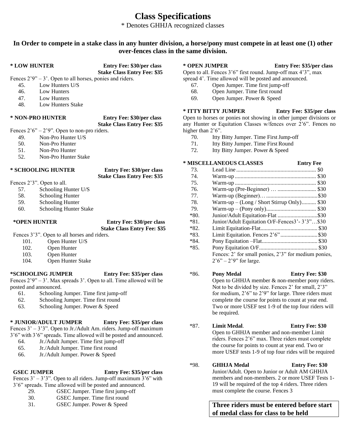# **Class Specifications**

\* Denotes GHHJA recognized classes

# **In Order to compete in a stake class in any hunter division, a horse/pony must compete in at least one (1) other over-fences class in the same division.**

**\* LOW HUNTER Entry Fee: \$30/per class Stake Class Entry Fee: \$35**

Fences  $2'9'' - 3'$ . Open to all horses, ponies and riders.

- 45. Low Hunters U/S
- 46. Low Hunters
- 47. Low Hunters
- 48. Low Hunters Stake

### **\* NON-PRO HUNTER Entry Fee: \$30/per class**

# **Stake Class Entry Fee: \$35**

Fences  $2'6'' - 2'9''$ . Open to non-pro riders.

- 49. Non-Pro Hunter U/S
- 50. Non-Pro Hunter
- 51. Non-Pro Hunter
- 52. Non-Pro Hunter Stake

## **\* SCHOOLING HUNTER Entry Fee: \$30/per class**

**Stake Class Entry Fee: \$35**

- Fences 2'3". Open to all.
	- 57. Schooling Hunter U/S
	- 58. Schooling Hunter
	- 59. Schooling Hunter
	- 60. Schooling Hunter Stake

### **\*OPEN HUNTER Entry Fee: \$30/per class Stake Class Entry Fee: \$35**

Fences 3'3". Open to all horses and riders.

- 101. Open Hunter U/S
- 102. Open Hunter
- 103. Open Hunter
- 104. Open Hunter Stake

# **\*SCHOOLING JUMPER Entry Fee: \$35/per class**

Fences  $2'9'' - 3'$ . Max spreads 3'. Open to all. Time allowed will be posted and announced.

- 61. Schooling Jumper. Time first jump-off
- 62. Schooling Jumper. Time first round
- 63. Schooling Jumper. Power & Speed

# **\* JUNIOR/ADULT JUMPER Entry Fee: \$35/per class**

Fences  $3' - 3'3''$ . Open to Jr./Adult Am. riders. Jump-off maximum 3'6" with 3'6" spreads. Time allowed will be posted and announced.

- 64. Jr./Adult Jumper. Time first jump-off
- 65. Jr./Adult Jumper. Time first round
- 66. Jr./Adult Jumper. Power & Speed

### **GSEC JUMPER Entry Fee: \$35/per class**

Fences  $3' - 3'3''$ . Open to all riders. Jump-off maximum  $3'6''$  with 3'6" spreads. Time allowed will be posted and announced.

- 29. GSEC Jumper. Time first jump-off
- 30. GSEC Jumper. Time first round
- 31. GSEC Jumper. Power & Speed

### **\* OPEN JUMPER Entry Fee: \$35/per class**

Open to all. Fences 3'6" first round. Jump-off max 4'3", max spread 4'. Time allowed will be posted and announced.

- 67. Open Jumper. Time first jump-off
- 68. Open Jumper. Time first round
- 69. Open Jumper. Power & Speed

# **\* ITTY BITTY JUMPER Entry Fee: \$35/per class**

Open to horses or ponies not showing in other jumper divisions or any Hunter or Equitation Classes w/fences over 2'6". Fences no higher than  $2'6$ ".

- 70. Itty Bitty Jumper. Time First Jump-off
- 71. Itty Bitty Jumper. Time First Round
- 72. Itty Bitty Jumper. Power & Speed

# **\* MISCELLANEOUS CLASSES Entry Fee**

be required.

| 73.    |                                                      |  |
|--------|------------------------------------------------------|--|
| 74.    |                                                      |  |
| 75.    |                                                      |  |
| 76.    |                                                      |  |
| 77.    |                                                      |  |
| 78.    | $Warm-up - (Long / Short Stirrup Only)$ \$30         |  |
| 79.    |                                                      |  |
| *80.   | Junior/Adult Equitation-Flat \$30                    |  |
| $*81.$ | Junior/Adult Equitation O/F-Fences3'-3'3"\$30        |  |
| $*82.$ |                                                      |  |
| *83.   | Limit Equitation. Fences 2'6"\$30                    |  |
| $*84.$ |                                                      |  |
| $*85.$ |                                                      |  |
|        | Fences: 2' for small ponies, 2'3" for medium ponies, |  |
|        | $2'6'' - 2'9''$ for large.                           |  |

### \*86. **Pony Medal Entry Fee: \$30**  Open to GHHJA member & non-member pony riders. Not to be divided by size. Fences 2' for small, 2'3" for medium, 2'6" to 2'9" for large. Three riders must complete the course for points to count at year end. Two or more USEF test 1-9 of the top four riders will

- \*87. **Limit Medal**. **Entry Fee: \$30**  Open to GHHJA member and non-member Limit riders. Fences 2'6" max. Three riders must complete the course for points to count at year end. Two or more USEF tests 1-9 of top four rides will be required
- \*98. **GHHJA Medal Entry Fee: \$30**  Junior/Adult. Open to Junior or Adult AM GHHJA members and non-members. 2 or more USEF Tests 1- 19 will be required of the top 4 riders. Three riders must complete the course. Fences 3

**Three riders must be entered before start of medal class for class to be held**